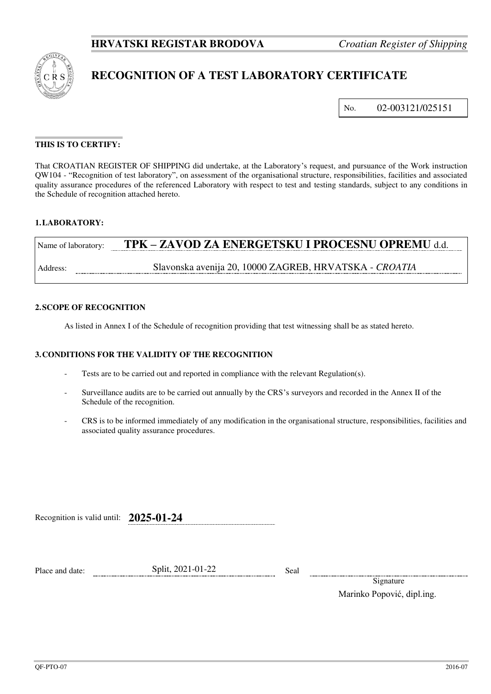

# **RECOGNITION OF A TEST LABORATORY CERTIFICATE**

No. 02-003121/025151

## **THIS IS TO CERTIFY:**

That CROATIAN REGISTER OF SHIPPING did undertake, at the Laboratory's request, and pursuance of the Work instruction QW104 - "Recognition of test laboratory", on assessment of the organisational structure, responsibilities, facilities and associated quality assurance procedures of the referenced Laboratory with respect to test and testing standards, subject to any conditions in the Schedule of recognition attached hereto.

### **1. LABORATORY:**

| Name of laboratory: | TPK - ZAVOD ZA ENERGETSKU I PROCESNU OPREMU d.d.       |
|---------------------|--------------------------------------------------------|
| Address:            | Slavonska avenija 20, 10000 ZAGREB, HRVATSKA - CROATIA |

#### **2. SCOPE OF RECOGNITION**

As listed in Annex I of the Schedule of recognition providing that test witnessing shall be as stated hereto.

#### **3. CONDITIONS FOR THE VALIDITY OF THE RECOGNITION**

- Tests are to be carried out and reported in compliance with the relevant Regulation(s).
- Surveillance audits are to be carried out annually by the CRS's surveyors and recorded in the Annex II of the Schedule of the recognition.
- CRS is to be informed immediately of any modification in the organisational structure, responsibilities, facilities and associated quality assurance procedures.

Recognition is valid until: **2025-01-24**

Place and date: Split, 2021-01-22 Seal

Signature Marinko Popović, dipl.ing.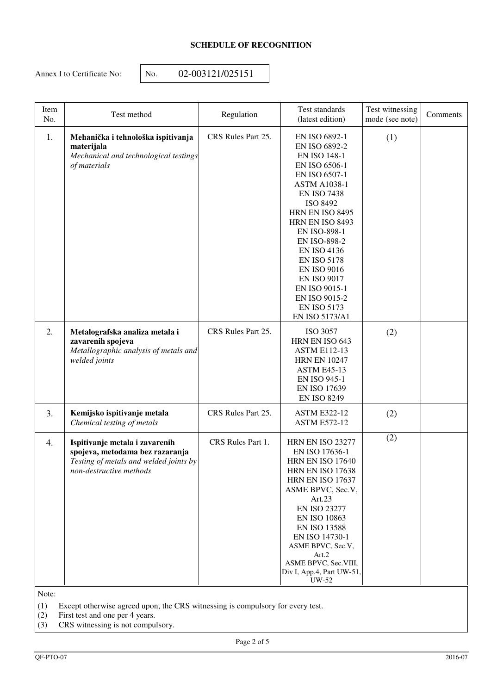# **SCHEDULE OF RECOGNITION**

Annex I to Certificate No: <br>No. 02-003121/025151

| Item<br>No. | Test method                                                                                                                            | Regulation         | Test standards<br>(latest edition)                                                                                                                                                                                                                                                                                                                                                                     | Test witnessing<br>mode (see note) | Comments |
|-------------|----------------------------------------------------------------------------------------------------------------------------------------|--------------------|--------------------------------------------------------------------------------------------------------------------------------------------------------------------------------------------------------------------------------------------------------------------------------------------------------------------------------------------------------------------------------------------------------|------------------------------------|----------|
| 1.          | Mehanička i tehnološka ispitivanja<br>materijala<br>Mechanical and technological testings<br>of materials                              | CRS Rules Part 25. | EN ISO 6892-1<br>EN ISO 6892-2<br><b>EN ISO 148-1</b><br>EN ISO 6506-1<br>EN ISO 6507-1<br><b>ASTM A1038-1</b><br><b>EN ISO 7438</b><br>ISO 8492<br>HRN EN ISO 8495<br>HRN EN ISO 8493<br><b>EN ISO-898-1</b><br><b>EN ISO-898-2</b><br><b>EN ISO 4136</b><br><b>EN ISO 5178</b><br><b>EN ISO 9016</b><br><b>EN ISO 9017</b><br>EN ISO 9015-1<br>EN ISO 9015-2<br><b>EN ISO 5173</b><br>EN ISO 5173/A1 | (1)                                |          |
| 2.          | Metalografska analiza metala i<br>zavarenih spojeva<br>Metallographic analysis of metals and<br>welded joints                          | CRS Rules Part 25. | ISO 3057<br>HRN EN ISO 643<br><b>ASTM E112-13</b><br><b>HRN EN 10247</b><br><b>ASTM E45-13</b><br><b>EN ISO 945-1</b><br><b>EN ISO 17639</b><br><b>EN ISO 8249</b>                                                                                                                                                                                                                                     | (2)                                |          |
| 3.          | Kemijsko ispitivanje metala<br>Chemical testing of metals                                                                              | CRS Rules Part 25. | <b>ASTM E322-12</b><br><b>ASTM E572-12</b>                                                                                                                                                                                                                                                                                                                                                             | (2)                                |          |
| 4.          | Ispitivanje metala i zavarenih<br>spojeva, metodama bez razaranja<br>Testing of metals and welded joints by<br>non-destructive methods | CRS Rules Part 1.  | <b>HRN EN ISO 23277</b><br>EN ISO 17636-1<br><b>HRN EN ISO 17640</b><br>HRN EN ISO 17638<br><b>HRN EN ISO 17637</b><br>ASME BPVC, Sec.V,<br>Art.23<br><b>EN ISO 23277</b><br>EN ISO 10863<br><b>EN ISO 13588</b><br>EN ISO 14730-1<br>ASME BPVC, Sec.V,<br>Art.2<br>ASME BPVC, Sec.VIII,<br>Div I, App.4, Part UW-51,<br>UW-52                                                                         | (2)                                |          |

Note:

(1) Except otherwise agreed upon, the CRS witnessing is compulsory for every test.

(2) First test and one per 4 years.

(3) CRS witnessing is not compulsory.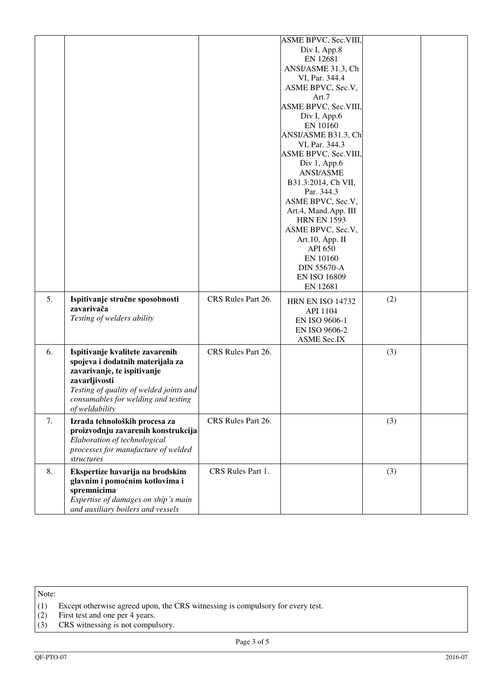|    |                                                                                                                                                                                                                         |                    | ASME BPVC, Sec.VIII,<br>Div I, App.8<br>EN 12681<br>ANSI/ASME 31.3, Ch<br>VI, Par. 344.4<br>ASME BPVC, Sec.V,<br>Art.7<br>ASME BPVC, Sec.VIII,<br>Div I, App.6<br>EN 10160<br>ANSI/ASME B31.3, Ch<br>VI, Par. 344.3<br>ASME BPVC, Sec.VIII,<br>Div $1,$ App.6<br><b>ANSI/ASME</b><br>B31.3:2014, Ch VII,<br>Par. 344.3<br>ASME BPVC, Sec.V,<br>Art.4, Mand.App. III<br><b>HRN EN 1593</b><br>ASME BPVC, Sec.V,<br>Art.10, App. II<br><b>API 650</b><br>EN 10160<br><b>DIN 55670-A</b> |     |  |
|----|-------------------------------------------------------------------------------------------------------------------------------------------------------------------------------------------------------------------------|--------------------|---------------------------------------------------------------------------------------------------------------------------------------------------------------------------------------------------------------------------------------------------------------------------------------------------------------------------------------------------------------------------------------------------------------------------------------------------------------------------------------|-----|--|
| 5. | Ispitivanje stručne sposobnosti<br>zavarivača<br>Testing of welders ability                                                                                                                                             | CRS Rules Part 26. | <b>EN ISO 16809</b><br>EN 12681<br><b>HRN EN ISO 14732</b><br>API 1104<br>EN ISO 9606-1<br>EN ISO 9606-2                                                                                                                                                                                                                                                                                                                                                                              | (2) |  |
| 6. | Ispitivanje kvalitete zavarenih<br>spojeva i dodatnih materijala za<br>zavarivanje, te ispitivanje<br>zavarljivosti<br>Testing of quality of welded joints and<br>consumables for welding and testing<br>of weldability | CRS Rules Part 26. | <b>ASME Sec.IX</b>                                                                                                                                                                                                                                                                                                                                                                                                                                                                    | (3) |  |
| 7. | Izrada tehnoloških procesa za<br>proizvodnju zavarenih konstrukcija<br>Elaboration of technological<br>processes for manufacture of welded<br>structures                                                                | CRS Rules Part 26. |                                                                                                                                                                                                                                                                                                                                                                                                                                                                                       | (3) |  |
| 8. | Ekspertize havarija na brodskim<br>glavnim i pomoćnim kotlovima i<br>spremnicima<br>Expertise of damages on ship's main<br>and auxiliary boilers and vessels                                                            | CRS Rules Part 1.  |                                                                                                                                                                                                                                                                                                                                                                                                                                                                                       | (3) |  |

Note:

- (1) Except otherwise agreed upon, the CRS witnessing is compulsory for every test. (1) Except otherwise agreed upon, the (2) First test and one per 4 years.<br>(3) CRS witnessing is not compulsory.
- (2) First test and one per 4 years.
-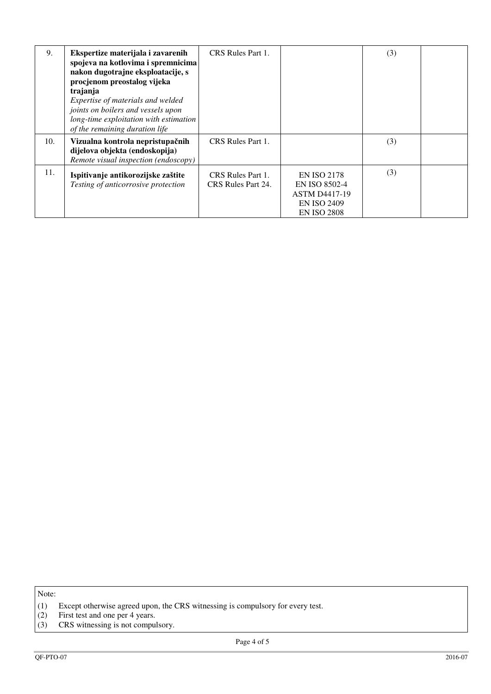| 9.  | Ekspertize materijala i zavarenih<br>spojeva na kotlovima i spremnicima<br>nakon dugotrajne eksploatacije, s<br>procjenom preostalog vijeka<br>trajanja<br>Expertise of materials and welded<br>joints on boilers and vessels upon<br>long-time exploitation with estimation<br>of the remaining duration life | CRS Rules Part 1.                       |                                                                                                                | (3) |  |
|-----|----------------------------------------------------------------------------------------------------------------------------------------------------------------------------------------------------------------------------------------------------------------------------------------------------------------|-----------------------------------------|----------------------------------------------------------------------------------------------------------------|-----|--|
| 10. | Vizualna kontrola nepristupačnih<br>dijelova objekta (endoskopija)<br>Remote visual inspection (endoscopy)                                                                                                                                                                                                     | CRS Rules Part 1.                       |                                                                                                                | (3) |  |
| 11. | Ispitivanje antikorozijske zaštite<br>Testing of anticorrosive protection                                                                                                                                                                                                                                      | CRS Rules Part 1.<br>CRS Rules Part 24. | <b>EN ISO 2178</b><br><b>EN ISO 8502-4</b><br><b>ASTM D4417-19</b><br><b>EN ISO 2409</b><br><b>EN ISO 2808</b> | (3) |  |

Note:

<sup>(1)</sup> Except otherwise agreed upon, the CRS witnessing is compulsory for every test. (1) Except otherwise agreed upon, the (2) First test and one per 4 years.<br>(3) CRS witnessing is not compulsory.

<sup>(2)</sup> First test and one per 4 years.